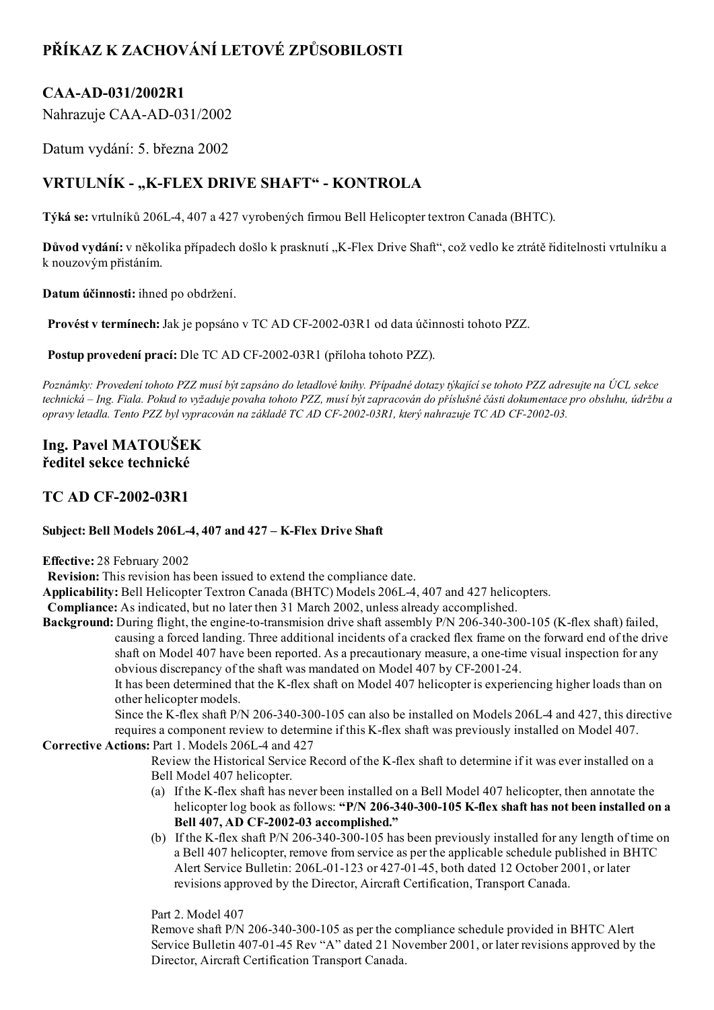# PŘÍKAZ K ZACHOVÁNÍ LETOVÉ ZPŮSOBILOSTI

## CAA-AD-031/2002R1

Nahrazuje CAA-AD-031/2002

Datum vydání: 5. března 2002

## VRTULNÍK - "K-FLEX DRIVE SHAFT" - KONTROLA

Týká se: vrtulníků 206L4, 407 a 427 vyrobených firmou Bell Helicopter textron Canada (BHTC).

Důvod vydání: v několika případech došlo k prasknutí "K-Flex Drive Shaft", což vedlo ke ztrátě řiditelnosti vrtulníku a k nouzovým přistáním.

Datum účinnosti: ihned po obdržení.

Provést v termínech: Jak je popsáno v TC AD CF-2002-03R1 od data účinnosti tohoto PZZ.

Postup provedení prací: Dle TC AD CF-2002-03R1 (příloha tohoto PZZ).

Poznámky: Provedení tohoto PZZ musí být zapsáno do letadlové knihy. Případné dotazy týkající se tohoto PZZ adresujte na ÚCL sekce technická – Ing. Fiala. Pokud to vyžaduje povaha tohoto PZZ, musí být zapracován do příslušné části dokumentace pro obsluhu, údržbu a opravy letadla. Tento PZZ byl vypracován na základě TC AD CF-2002-03R1, který nahrazuje TC AD CF-2002-03.

### Ing. Pavel MATOUŠEK ředitel sekce technické

### **TC AD CF-2002-03R1**

#### Subject: Bell Models 206L-4, 407 and 427 - K-Flex Drive Shaft

Effective: 28 February 2002

Revision: This revision has been issued to extend the compliance date.

Applicability: Bell Helicopter Textron Canada (BHTC) Models 206L-4, 407 and 427 helicopters.

Compliance: As indicated, but no later then 31 March 2002, unless already accomplished.

Background: During flight, the engine-to-transmision drive shaft assembly P/N 206-340-300-105 (K-flex shaft) failed, causing a forced landing. Three additional incidents of a cracked flex frame on the forward end of the drive shaft on Model 407 have been reported. As a precautionary measure, a one-time visual inspection for any obvious discrepancy of the shaft was mandated on Model 407 by CF-2001-24.

It has been determined that the K-flex shaft on Model 407 helicopter is experiencing higher loads than on other helicopter models.

Since the K-flex shaft P/N 206-340-300-105 can also be installed on Models 206L-4 and 427, this directive requires a component review to determine if this K-flex shaft was previously installed on Model 407.

#### Corrective Actions: Part 1. Models 206L4 and 427

Review the Historical Service Record of the K-flex shaft to determine if it was ever installed on a Bell Model 407 helicopter.

- (a) If the K-flex shaft has never been installed on a Bell Model 407 helicopter, then annotate the helicopter log book as follows: "P/N 206-340-300-105 K-flex shaft has not been installed on a Bell 407, AD CF-2002-03 accomplished."
- (b) If the K-flex shaft P/N 206-340-300-105 has been previously installed for any length of time on a Bell 407 helicopter, remove from service as per the applicable schedule published in BHTC Alert Service Bulletin: 206L-01-123 or 427-01-45, both dated 12 October 2001, or later revisions approved by the Director, Aircraft Certification, Transport Canada.

Part 2. Model 407

Remove shaft P/N 206340300105 as per the compliance schedule provided in BHTC Alert Service Bulletin 407-01-45 Rev "A" dated 21 November 2001, or later revisions approved by the Director, Aircraft Certification Transport Canada.